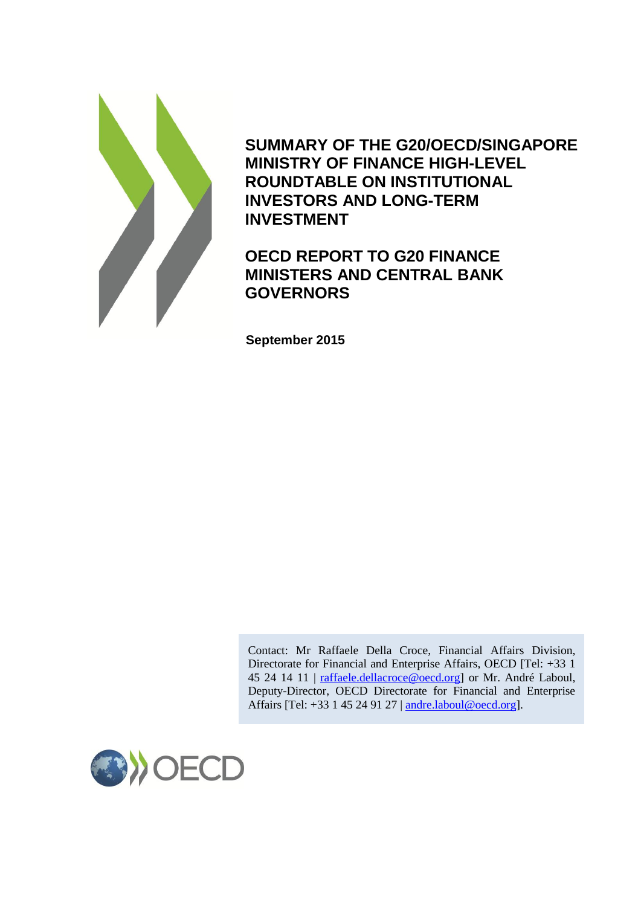

**SUMMARY OF THE G20/OECD/SINGAPORE MINISTRY OF FINANCE HIGH-LEVEL ROUNDTABLE ON INSTITUTIONAL INVESTORS AND LONG-TERM INVESTMENT**

# **OECD REPORT TO G20 FINANCE MINISTERS AND CENTRAL BANK GOVERNORS**

**September 2015**

Contact: Mr Raffaele Della Croce, Financial Affairs Division, Directorate for Financial and Enterprise Affairs, OECD [Tel: +33 1 45 24 14 11 | [raffaele.dellacroce@oecd.org\]](mailto:raffaele.dellacroce@oecd.org) or Mr. André Laboul, Deputy-Director, OECD Directorate for Financial and Enterprise Affairs [Tel: +33 1 45 24 91 27 | [andre.laboul@oecd.org\]](mailto:andre.laboul@oecd.org).

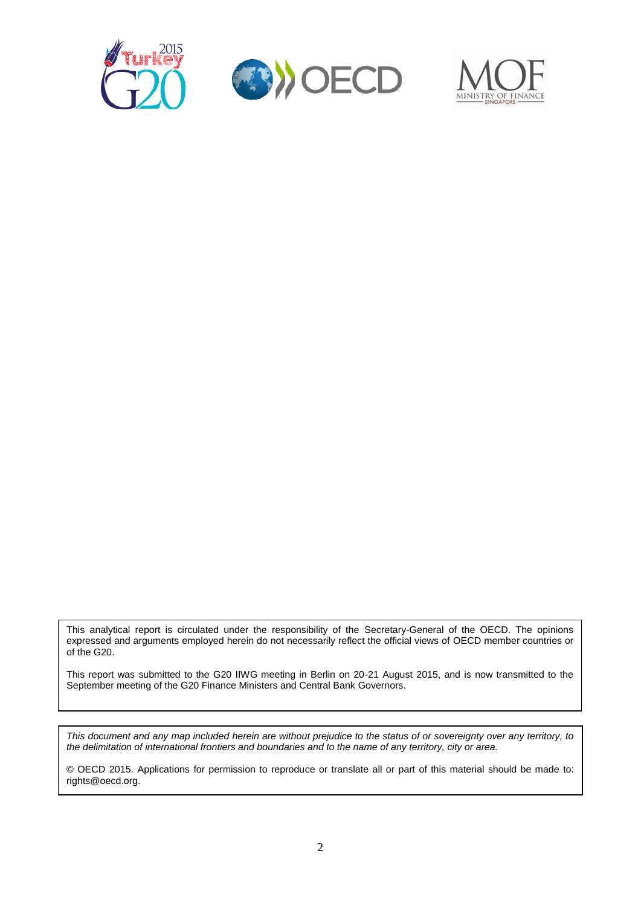





This analytical report is circulated under the responsibility of the Secretary-General of the OECD. The opinions expressed and arguments employed herein do not necessarily reflect the official views of OECD member countries or of the G20.

This report was submitted to the G20 IIWG meeting in Berlin on 20-21 August 2015, and is now transmitted to the September meeting of the G20 Finance Ministers and Central Bank Governors.

*This document and any map included herein are without prejudice to the status of or sovereignty over any territory, to the delimitation of international frontiers and boundaries and to the name of any territory, city or area.*

© OECD 2015. Applications for permission to reproduce or translate all or part of this material should be made to: rights@oecd.org.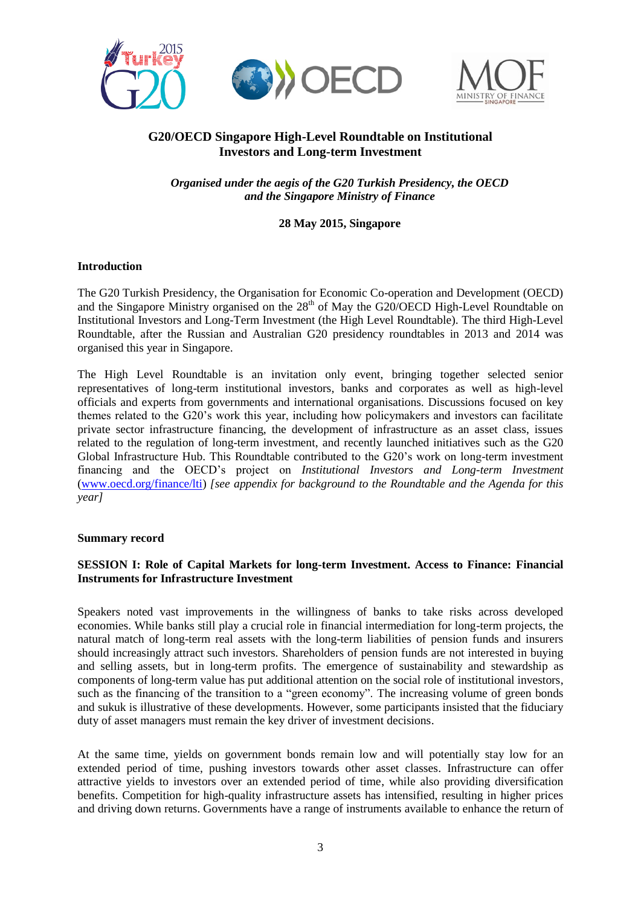

# **G20/OECD Singapore High-Level Roundtable on Institutional Investors and Long-term Investment**

*Organised under the aegis of the G20 Turkish Presidency, the OECD and the Singapore Ministry of Finance*

### **28 May 2015, Singapore**

#### **Introduction**

The G20 Turkish Presidency, the Organisation for Economic Co-operation and Development (OECD) and the Singapore Ministry organised on the 28<sup>th</sup> of May the G20/OECD High-Level Roundtable on Institutional Investors and Long-Term Investment (the High Level Roundtable). The third High-Level Roundtable, after the Russian and Australian G20 presidency roundtables in 2013 and 2014 was organised this year in Singapore.

The High Level Roundtable is an invitation only event, bringing together selected senior representatives of long-term institutional investors, banks and corporates as well as high-level officials and experts from governments and international organisations. Discussions focused on key themes related to the G20's work this year, including how policymakers and investors can facilitate private sector infrastructure financing, the development of infrastructure as an asset class, issues related to the regulation of long-term investment, and recently launched initiatives such as the G20 Global Infrastructure Hub. This Roundtable contributed to the G20's work on long-term investment financing and the OECD's project on *Institutional Investors and Long-term Investment* [\(www.oecd.org/finance/lti\)](http://www.oecd.org/finance/lti) *[see appendix for background to the Roundtable and the Agenda for this year]*

#### **Summary record**

### **SESSION I: Role of Capital Markets for long-term Investment. Access to Finance: Financial Instruments for Infrastructure Investment**

Speakers noted vast improvements in the willingness of banks to take risks across developed economies. While banks still play a crucial role in financial intermediation for long-term projects, the natural match of long-term real assets with the long-term liabilities of pension funds and insurers should increasingly attract such investors. Shareholders of pension funds are not interested in buying and selling assets, but in long-term profits. The emergence of sustainability and stewardship as components of long-term value has put additional attention on the social role of institutional investors, such as the financing of the transition to a "green economy". The increasing volume of green bonds and sukuk is illustrative of these developments. However, some participants insisted that the fiduciary duty of asset managers must remain the key driver of investment decisions.

At the same time, yields on government bonds remain low and will potentially stay low for an extended period of time, pushing investors towards other asset classes. Infrastructure can offer attractive yields to investors over an extended period of time, while also providing diversification benefits. Competition for high-quality infrastructure assets has intensified, resulting in higher prices and driving down returns. Governments have a range of instruments available to enhance the return of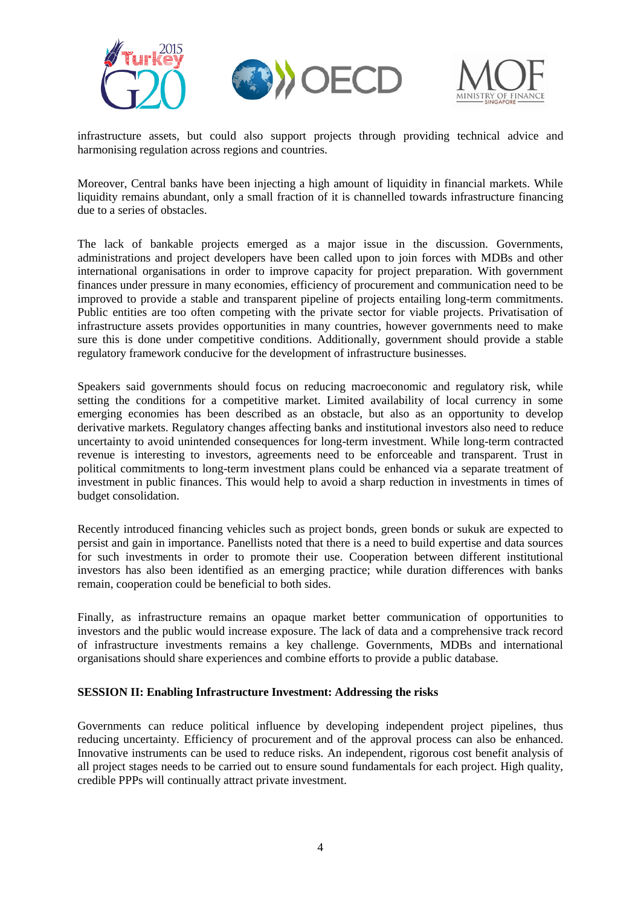





infrastructure assets, but could also support projects through providing technical advice and harmonising regulation across regions and countries.

Moreover, Central banks have been injecting a high amount of liquidity in financial markets. While liquidity remains abundant, only a small fraction of it is channelled towards infrastructure financing due to a series of obstacles.

The lack of bankable projects emerged as a major issue in the discussion. Governments, administrations and project developers have been called upon to join forces with MDBs and other international organisations in order to improve capacity for project preparation. With government finances under pressure in many economies, efficiency of procurement and communication need to be improved to provide a stable and transparent pipeline of projects entailing long-term commitments. Public entities are too often competing with the private sector for viable projects. Privatisation of infrastructure assets provides opportunities in many countries, however governments need to make sure this is done under competitive conditions. Additionally, government should provide a stable regulatory framework conducive for the development of infrastructure businesses.

Speakers said governments should focus on reducing macroeconomic and regulatory risk, while setting the conditions for a competitive market. Limited availability of local currency in some emerging economies has been described as an obstacle, but also as an opportunity to develop derivative markets. Regulatory changes affecting banks and institutional investors also need to reduce uncertainty to avoid unintended consequences for long-term investment. While long-term contracted revenue is interesting to investors, agreements need to be enforceable and transparent. Trust in political commitments to long-term investment plans could be enhanced via a separate treatment of investment in public finances. This would help to avoid a sharp reduction in investments in times of budget consolidation.

Recently introduced financing vehicles such as project bonds, green bonds or sukuk are expected to persist and gain in importance. Panellists noted that there is a need to build expertise and data sources for such investments in order to promote their use. Cooperation between different institutional investors has also been identified as an emerging practice; while duration differences with banks remain, cooperation could be beneficial to both sides.

Finally, as infrastructure remains an opaque market better communication of opportunities to investors and the public would increase exposure. The lack of data and a comprehensive track record of infrastructure investments remains a key challenge. Governments, MDBs and international organisations should share experiences and combine efforts to provide a public database.

#### **SESSION II: Enabling Infrastructure Investment: Addressing the risks**

Governments can reduce political influence by developing independent project pipelines, thus reducing uncertainty. Efficiency of procurement and of the approval process can also be enhanced. Innovative instruments can be used to reduce risks. An independent, rigorous cost benefit analysis of all project stages needs to be carried out to ensure sound fundamentals for each project. High quality, credible PPPs will continually attract private investment.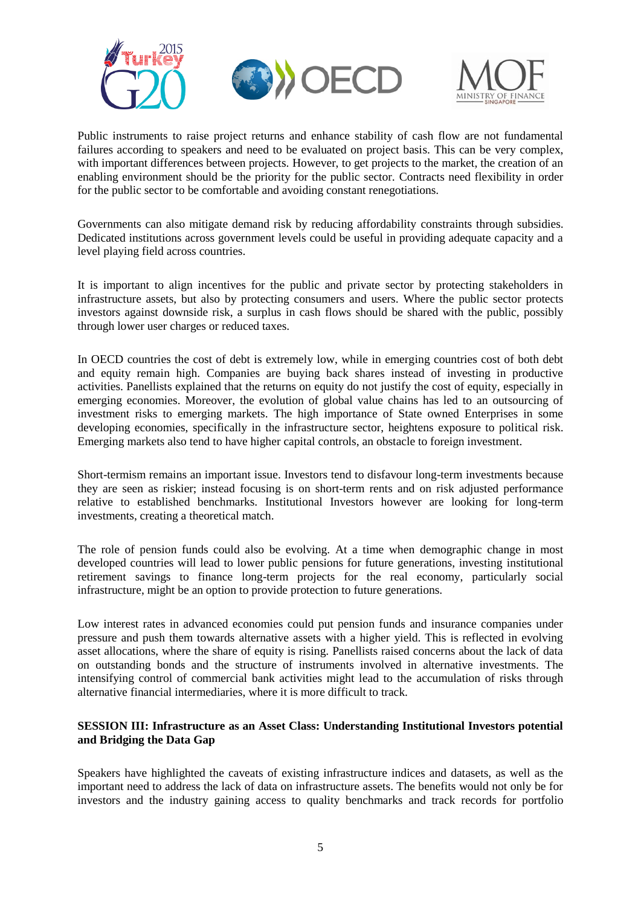

Public instruments to raise project returns and enhance stability of cash flow are not fundamental failures according to speakers and need to be evaluated on project basis. This can be very complex, with important differences between projects. However, to get projects to the market, the creation of an enabling environment should be the priority for the public sector*.* Contracts need flexibility in order for the public sector to be comfortable and avoiding constant renegotiations.

Governments can also mitigate demand risk by reducing affordability constraints through subsidies. Dedicated institutions across government levels could be useful in providing adequate capacity and a level playing field across countries.

It is important to align incentives for the public and private sector by protecting stakeholders in infrastructure assets, but also by protecting consumers and users. Where the public sector protects investors against downside risk, a surplus in cash flows should be shared with the public, possibly through lower user charges or reduced taxes.

In OECD countries the cost of debt is extremely low, while in emerging countries cost of both debt and equity remain high. Companies are buying back shares instead of investing in productive activities. Panellists explained that the returns on equity do not justify the cost of equity, especially in emerging economies. Moreover, the evolution of global value chains has led to an outsourcing of investment risks to emerging markets. The high importance of State owned Enterprises in some developing economies, specifically in the infrastructure sector, heightens exposure to political risk. Emerging markets also tend to have higher capital controls, an obstacle to foreign investment.

Short-termism remains an important issue. Investors tend to disfavour long-term investments because they are seen as riskier; instead focusing is on short-term rents and on risk adjusted performance relative to established benchmarks. Institutional Investors however are looking for long-term investments, creating a theoretical match.

The role of pension funds could also be evolving. At a time when demographic change in most developed countries will lead to lower public pensions for future generations, investing institutional retirement savings to finance long-term projects for the real economy, particularly social infrastructure, might be an option to provide protection to future generations.

Low interest rates in advanced economies could put pension funds and insurance companies under pressure and push them towards alternative assets with a higher yield. This is reflected in evolving asset allocations, where the share of equity is rising. Panellists raised concerns about the lack of data on outstanding bonds and the structure of instruments involved in alternative investments. The intensifying control of commercial bank activities might lead to the accumulation of risks through alternative financial intermediaries, where it is more difficult to track.

### **SESSION III: Infrastructure as an Asset Class: Understanding Institutional Investors potential and Bridging the Data Gap**

Speakers have highlighted the caveats of existing infrastructure indices and datasets, as well as the important need to address the lack of data on infrastructure assets. The benefits would not only be for investors and the industry gaining access to quality benchmarks and track records for portfolio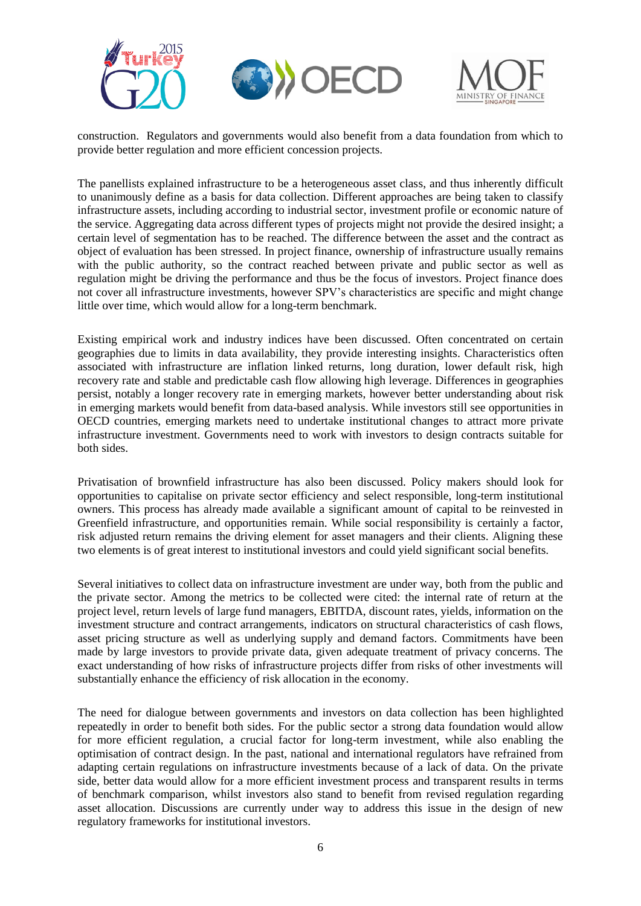





construction. Regulators and governments would also benefit from a data foundation from which to provide better regulation and more efficient concession projects.

The panellists explained infrastructure to be a heterogeneous asset class, and thus inherently difficult to unanimously define as a basis for data collection. Different approaches are being taken to classify infrastructure assets, including according to industrial sector, investment profile or economic nature of the service. Aggregating data across different types of projects might not provide the desired insight; a certain level of segmentation has to be reached. The difference between the asset and the contract as object of evaluation has been stressed. In project finance, ownership of infrastructure usually remains with the public authority, so the contract reached between private and public sector as well as regulation might be driving the performance and thus be the focus of investors. Project finance does not cover all infrastructure investments, however SPV's characteristics are specific and might change little over time, which would allow for a long-term benchmark.

Existing empirical work and industry indices have been discussed. Often concentrated on certain geographies due to limits in data availability, they provide interesting insights. Characteristics often associated with infrastructure are inflation linked returns, long duration, lower default risk, high recovery rate and stable and predictable cash flow allowing high leverage. Differences in geographies persist, notably a longer recovery rate in emerging markets, however better understanding about risk in emerging markets would benefit from data-based analysis. While investors still see opportunities in OECD countries, emerging markets need to undertake institutional changes to attract more private infrastructure investment. Governments need to work with investors to design contracts suitable for both sides.

Privatisation of brownfield infrastructure has also been discussed. Policy makers should look for opportunities to capitalise on private sector efficiency and select responsible, long-term institutional owners. This process has already made available a significant amount of capital to be reinvested in Greenfield infrastructure, and opportunities remain. While social responsibility is certainly a factor, risk adjusted return remains the driving element for asset managers and their clients. Aligning these two elements is of great interest to institutional investors and could yield significant social benefits.

Several initiatives to collect data on infrastructure investment are under way, both from the public and the private sector. Among the metrics to be collected were cited: the internal rate of return at the project level, return levels of large fund managers, EBITDA, discount rates, yields, information on the investment structure and contract arrangements, indicators on structural characteristics of cash flows, asset pricing structure as well as underlying supply and demand factors. Commitments have been made by large investors to provide private data, given adequate treatment of privacy concerns. The exact understanding of how risks of infrastructure projects differ from risks of other investments will substantially enhance the efficiency of risk allocation in the economy.

The need for dialogue between governments and investors on data collection has been highlighted repeatedly in order to benefit both sides. For the public sector a strong data foundation would allow for more efficient regulation, a crucial factor for long-term investment, while also enabling the optimisation of contract design. In the past, national and international regulators have refrained from adapting certain regulations on infrastructure investments because of a lack of data. On the private side, better data would allow for a more efficient investment process and transparent results in terms of benchmark comparison, whilst investors also stand to benefit from revised regulation regarding asset allocation. Discussions are currently under way to address this issue in the design of new regulatory frameworks for institutional investors.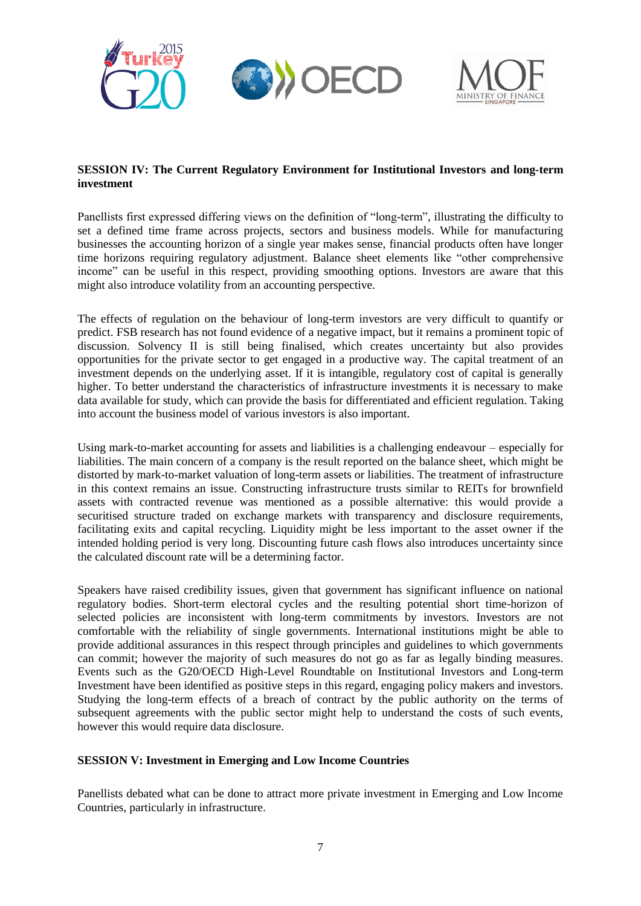

### **SESSION IV: The Current Regulatory Environment for Institutional Investors and long-term investment**

Panellists first expressed differing views on the definition of "long-term", illustrating the difficulty to set a defined time frame across projects, sectors and business models. While for manufacturing businesses the accounting horizon of a single year makes sense, financial products often have longer time horizons requiring regulatory adjustment. Balance sheet elements like "other comprehensive income" can be useful in this respect, providing smoothing options. Investors are aware that this might also introduce volatility from an accounting perspective.

The effects of regulation on the behaviour of long-term investors are very difficult to quantify or predict. FSB research has not found evidence of a negative impact, but it remains a prominent topic of discussion. Solvency II is still being finalised, which creates uncertainty but also provides opportunities for the private sector to get engaged in a productive way. The capital treatment of an investment depends on the underlying asset. If it is intangible, regulatory cost of capital is generally higher. To better understand the characteristics of infrastructure investments it is necessary to make data available for study, which can provide the basis for differentiated and efficient regulation. Taking into account the business model of various investors is also important.

Using mark-to-market accounting for assets and liabilities is a challenging endeavour – especially for liabilities. The main concern of a company is the result reported on the balance sheet, which might be distorted by mark-to-market valuation of long-term assets or liabilities. The treatment of infrastructure in this context remains an issue. Constructing infrastructure trusts similar to REITs for brownfield assets with contracted revenue was mentioned as a possible alternative: this would provide a securitised structure traded on exchange markets with transparency and disclosure requirements, facilitating exits and capital recycling. Liquidity might be less important to the asset owner if the intended holding period is very long. Discounting future cash flows also introduces uncertainty since the calculated discount rate will be a determining factor.

Speakers have raised credibility issues, given that government has significant influence on national regulatory bodies. Short-term electoral cycles and the resulting potential short time-horizon of selected policies are inconsistent with long-term commitments by investors. Investors are not comfortable with the reliability of single governments. International institutions might be able to provide additional assurances in this respect through principles and guidelines to which governments can commit; however the majority of such measures do not go as far as legally binding measures. Events such as the G20/OECD High-Level Roundtable on Institutional Investors and Long-term Investment have been identified as positive steps in this regard, engaging policy makers and investors. Studying the long-term effects of a breach of contract by the public authority on the terms of subsequent agreements with the public sector might help to understand the costs of such events, however this would require data disclosure.

## **SESSION V: Investment in Emerging and Low Income Countries**

Panellists debated what can be done to attract more private investment in Emerging and Low Income Countries, particularly in infrastructure.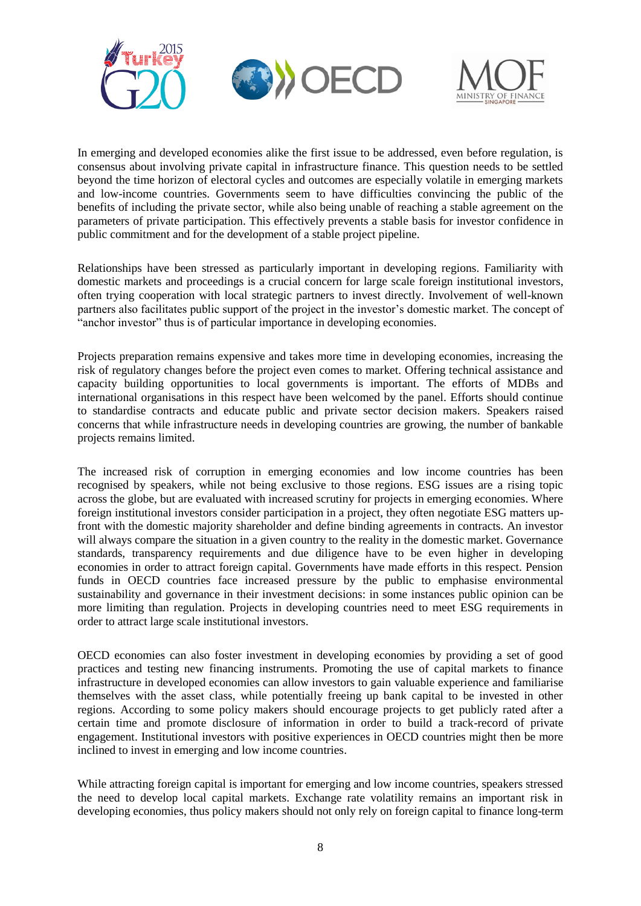



In emerging and developed economies alike the first issue to be addressed, even before regulation, is consensus about involving private capital in infrastructure finance. This question needs to be settled beyond the time horizon of electoral cycles and outcomes are especially volatile in emerging markets and low-income countries. Governments seem to have difficulties convincing the public of the benefits of including the private sector, while also being unable of reaching a stable agreement on the parameters of private participation. This effectively prevents a stable basis for investor confidence in public commitment and for the development of a stable project pipeline.

Relationships have been stressed as particularly important in developing regions. Familiarity with domestic markets and proceedings is a crucial concern for large scale foreign institutional investors, often trying cooperation with local strategic partners to invest directly. Involvement of well-known partners also facilitates public support of the project in the investor's domestic market. The concept of "anchor investor" thus is of particular importance in developing economies.

Projects preparation remains expensive and takes more time in developing economies, increasing the risk of regulatory changes before the project even comes to market. Offering technical assistance and capacity building opportunities to local governments is important. The efforts of MDBs and international organisations in this respect have been welcomed by the panel. Efforts should continue to standardise contracts and educate public and private sector decision makers. Speakers raised concerns that while infrastructure needs in developing countries are growing, the number of bankable projects remains limited.

The increased risk of corruption in emerging economies and low income countries has been recognised by speakers, while not being exclusive to those regions. ESG issues are a rising topic across the globe, but are evaluated with increased scrutiny for projects in emerging economies. Where foreign institutional investors consider participation in a project, they often negotiate ESG matters upfront with the domestic majority shareholder and define binding agreements in contracts. An investor will always compare the situation in a given country to the reality in the domestic market. Governance standards, transparency requirements and due diligence have to be even higher in developing economies in order to attract foreign capital. Governments have made efforts in this respect. Pension funds in OECD countries face increased pressure by the public to emphasise environmental sustainability and governance in their investment decisions: in some instances public opinion can be more limiting than regulation. Projects in developing countries need to meet ESG requirements in order to attract large scale institutional investors.

OECD economies can also foster investment in developing economies by providing a set of good practices and testing new financing instruments. Promoting the use of capital markets to finance infrastructure in developed economies can allow investors to gain valuable experience and familiarise themselves with the asset class, while potentially freeing up bank capital to be invested in other regions. According to some policy makers should encourage projects to get publicly rated after a certain time and promote disclosure of information in order to build a track-record of private engagement. Institutional investors with positive experiences in OECD countries might then be more inclined to invest in emerging and low income countries.

While attracting foreign capital is important for emerging and low income countries, speakers stressed the need to develop local capital markets. Exchange rate volatility remains an important risk in developing economies, thus policy makers should not only rely on foreign capital to finance long-term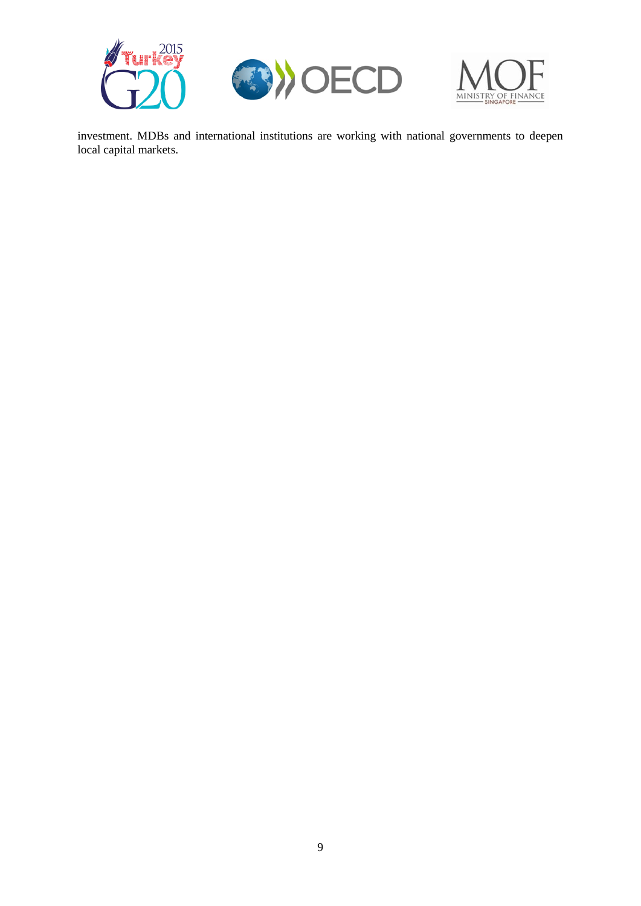





investment. MDBs and international institutions are working with national governments to deepen local capital markets.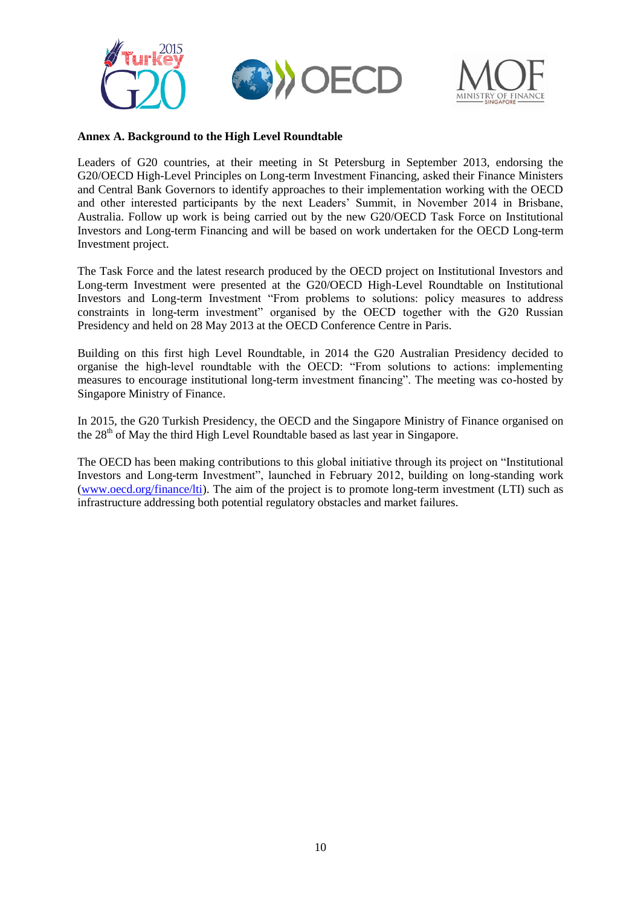

#### **Annex A. Background to the High Level Roundtable**

Leaders of G20 countries, at their meeting in St Petersburg in September 2013, endorsing the G20/OECD High-Level Principles on Long-term Investment Financing, asked their Finance Ministers and Central Bank Governors to identify approaches to their implementation working with the OECD and other interested participants by the next Leaders' Summit, in November 2014 in Brisbane, Australia. Follow up work is being carried out by the new G20/OECD Task Force on Institutional Investors and Long-term Financing and will be based on work undertaken for the OECD Long-term Investment project.

The Task Force and the latest research produced by the OECD project on Institutional Investors and Long-term Investment were presented at the G20/OECD High-Level Roundtable on Institutional Investors and Long-term Investment "From problems to solutions: policy measures to address constraints in long-term investment" organised by the OECD together with the G20 Russian Presidency and held on 28 May 2013 at the OECD Conference Centre in Paris.

Building on this first high Level Roundtable, in 2014 the G20 Australian Presidency decided to organise the high-level roundtable with the OECD: "From solutions to actions: implementing measures to encourage institutional long-term investment financing". The meeting was co-hosted by Singapore Ministry of Finance.

In 2015, the G20 Turkish Presidency, the OECD and the Singapore Ministry of Finance organised on the  $28<sup>th</sup>$  of May the third High Level Roundtable based as last year in Singapore.

The OECD has been making contributions to this global initiative through its project on "Institutional Investors and Long-term Investment", launched in February 2012, building on long-standing work [\(www.oecd.org/finance/lti\)](http://www.oecd.org/finance/lti). The aim of the project is to promote long-term investment (LTI) such as infrastructure addressing both potential regulatory obstacles and market failures.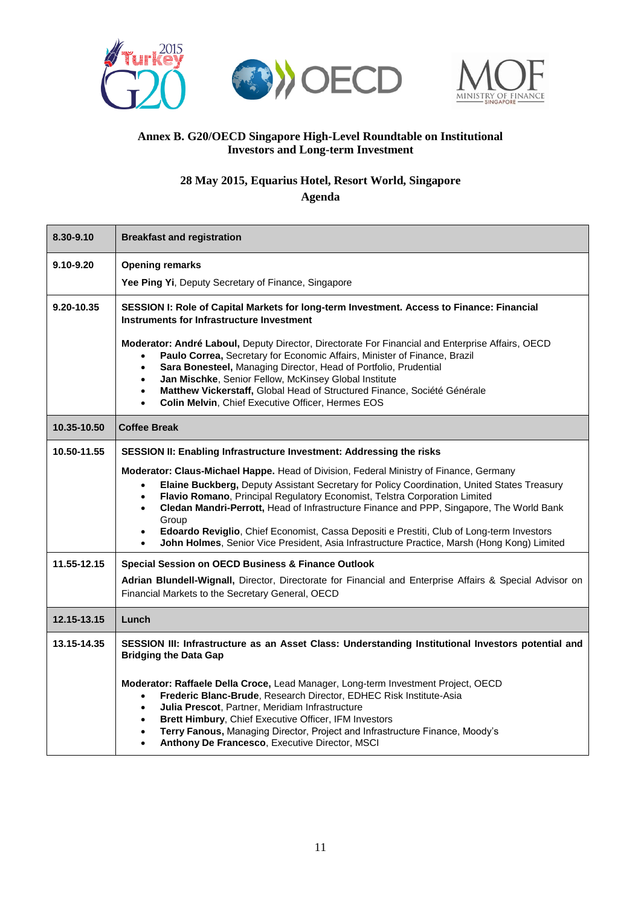





# **Annex B. G20/OECD Singapore High-Level Roundtable on Institutional Investors and Long-term Investment**

# **28 May 2015, Equarius Hotel, Resort World, Singapore**

**Agenda**

| 8.30-9.10                  | <b>Breakfast and registration</b>                                                                                                                                                                                                                                                                                                                                                                                                                                                                                                                                                                                                                                                                                                                                 |
|----------------------------|-------------------------------------------------------------------------------------------------------------------------------------------------------------------------------------------------------------------------------------------------------------------------------------------------------------------------------------------------------------------------------------------------------------------------------------------------------------------------------------------------------------------------------------------------------------------------------------------------------------------------------------------------------------------------------------------------------------------------------------------------------------------|
| 9.10-9.20                  | <b>Opening remarks</b><br>Yee Ping Yi, Deputy Secretary of Finance, Singapore                                                                                                                                                                                                                                                                                                                                                                                                                                                                                                                                                                                                                                                                                     |
| 9.20-10.35                 | SESSION I: Role of Capital Markets for long-term Investment. Access to Finance: Financial<br>Instruments for Infrastructure Investment                                                                                                                                                                                                                                                                                                                                                                                                                                                                                                                                                                                                                            |
|                            | Moderator: André Laboul, Deputy Director, Directorate For Financial and Enterprise Affairs, OECD<br>Paulo Correa, Secretary for Economic Affairs, Minister of Finance, Brazil<br>$\bullet$<br>Sara Bonesteel, Managing Director, Head of Portfolio, Prudential<br>Jan Mischke, Senior Fellow, McKinsey Global Institute<br>$\bullet$<br>Matthew Vickerstaff, Global Head of Structured Finance, Société Générale<br>$\bullet$<br>Colin Melvin, Chief Executive Officer, Hermes EOS<br>$\bullet$                                                                                                                                                                                                                                                                   |
| 10.35-10.50                | <b>Coffee Break</b>                                                                                                                                                                                                                                                                                                                                                                                                                                                                                                                                                                                                                                                                                                                                               |
| 10.50-11.55<br>11.55-12.15 | SESSION II: Enabling Infrastructure Investment: Addressing the risks<br>Moderator: Claus-Michael Happe. Head of Division, Federal Ministry of Finance, Germany<br>Elaine Buckberg, Deputy Assistant Secretary for Policy Coordination, United States Treasury<br>$\bullet$<br>Flavio Romano, Principal Regulatory Economist, Telstra Corporation Limited<br>Cledan Mandri-Perrott, Head of Infrastructure Finance and PPP, Singapore, The World Bank<br>$\bullet$<br>Group<br>Edoardo Reviglio, Chief Economist, Cassa Depositi e Prestiti, Club of Long-term Investors<br>$\bullet$<br>John Holmes, Senior Vice President, Asia Infrastructure Practice, Marsh (Hong Kong) Limited<br>$\bullet$<br><b>Special Session on OECD Business &amp; Finance Outlook</b> |
|                            | Adrian Blundell-Wignall, Director, Directorate for Financial and Enterprise Affairs & Special Advisor on<br>Financial Markets to the Secretary General, OECD                                                                                                                                                                                                                                                                                                                                                                                                                                                                                                                                                                                                      |
| 12.15-13.15                | Lunch                                                                                                                                                                                                                                                                                                                                                                                                                                                                                                                                                                                                                                                                                                                                                             |
| 13.15-14.35                | SESSION III: Infrastructure as an Asset Class: Understanding Institutional Investors potential and<br><b>Bridging the Data Gap</b><br>Moderator: Raffaele Della Croce, Lead Manager, Long-term Investment Project, OECD<br>Frederic Blanc-Brude, Research Director, EDHEC Risk Institute-Asia<br>$\bullet$<br>Julia Prescot, Partner, Meridiam Infrastructure<br>$\bullet$<br>Brett Himbury, Chief Executive Officer, IFM Investors<br>$\bullet$<br>Terry Fanous, Managing Director, Project and Infrastructure Finance, Moody's<br>$\bullet$<br>Anthony De Francesco, Executive Director, MSCI<br>$\bullet$                                                                                                                                                      |